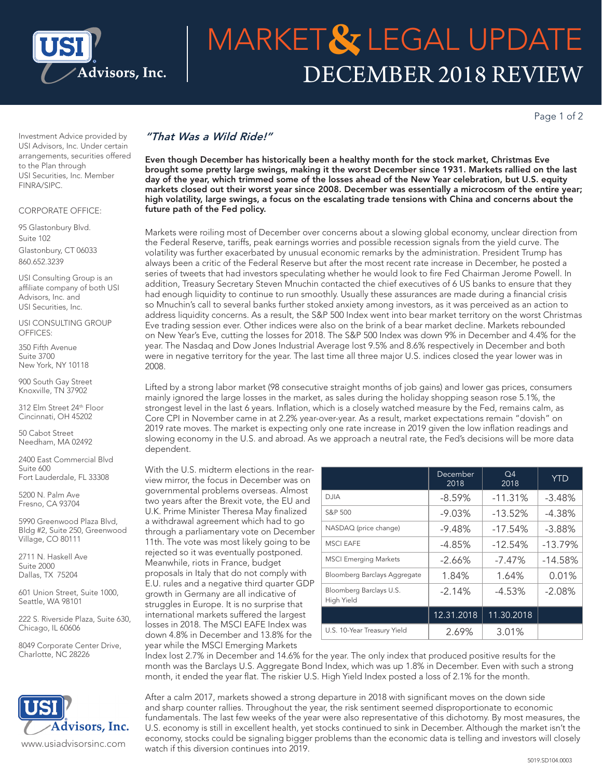

# DECEMBER 2018 REVIEW MARKET & LEGAL UPDATE

Page 1 of 2

Investment Advice provided by USI Advisors, Inc. Under certain arrangements, securities offered to the Plan through USI Securities, Inc. Member FINRA/SIPC.

#### CORPORATE OFFICE:

95 Glastonbury Blvd. Suite 102 Glastonbury, CT 06033 860.652.3239

USI Consulting Group is an affiliate company of both USI Advisors, Inc. and USI Securities, Inc.

USI CONSULTING GROUP OFFICES:

350 Fifth Avenue Suite 3700 New York, NY 10118

900 South Gay Street Knoxville, TN 37902

312 Elm Street 24th Floor Cincinnati, OH 45202

50 Cabot Street Needham, MA 02492

2400 East Commercial Blvd Suite 600 Fort Lauderdale, FL 33308

5200 N. Palm Ave Fresno, CA 93704

5990 Greenwood Plaza Blvd, Bldg #2, Suite 250, Greenwood Village, CO 80111

2711 N. Haskell Ave Suite 2000 Dallas, TX 75204

601 Union Street, Suite 1000, Seattle, WA 98101

222 S. Riverside Plaza, Suite 630, Chicago, IL 60606

8049 Corporate Center Drive, Charlotte, NC 28226

## Advisors, Inc. www.usiadvisorsinc.com

### *"That Was a Wild Ride!"*

Even though December has historically been a healthy month for the stock market, Christmas Eve brought some pretty large swings, making it the worst December since 1931. Markets rallied on the last day of the year, which trimmed some of the losses ahead of the New Year celebration, but U.S. equity markets closed out their worst year since 2008. December was essentially a microcosm of the entire year; high volatility, large swings, a focus on the escalating trade tensions with China and concerns about the future path of the Fed policy.

Markets were roiling most of December over concerns about a slowing global economy, unclear direction from the Federal Reserve, tariffs, peak earnings worries and possible recession signals from the yield curve. The volatility was further exacerbated by unusual economic remarks by the administration. President Trump has always been a critic of the Federal Reserve but after the most recent rate increase in December, he posted a series of tweets that had investors speculating whether he would look to fire Fed Chairman Jerome Powell. In addition, Treasury Secretary Steven Mnuchin contacted the chief executives of 6 US banks to ensure that they had enough liquidity to continue to run smoothly. Usually these assurances are made during a financial crisis so Mnuchin's call to several banks further stoked anxiety among investors, as it was perceived as an action to address liquidity concerns. As a result, the S&P 500 Index went into bear market territory on the worst Christmas Eve trading session ever. Other indices were also on the brink of a bear market decline. Markets rebounded on New Year's Eve, cutting the losses for 2018. The S&P 500 Index was down 9% in December and 4.4% for the year. The Nasdaq and Dow Jones Industrial Average lost 9.5% and 8.6% respectively in December and both were in negative territory for the year. The last time all three major U.S. indices closed the year lower was in 2008.

Lifted by a strong labor market (98 consecutive straight months of job gains) and lower gas prices, consumers mainly ignored the large losses in the market, as sales during the holiday shopping season rose 5.1%, the strongest level in the last 6 years. Inflation, which is a closely watched measure by the Fed, remains calm, as Core CPI in November came in at 2.2% year-over-year. As a result, market expectations remain "dovish" on 2019 rate moves. The market is expecting only one rate increase in 2019 given the low inflation readings and slowing economy in the U.S. and abroad. As we approach a neutral rate, the Fed's decisions will be more data dependent.

With the U.S. midterm elections in the rearview mirror, the focus in December was on governmental problems overseas. Almost two years after the Brexit vote, the EU and U.K. Prime Minister Theresa May finalized a withdrawal agreement which had to go through a parliamentary vote on December 11th. The vote was most likely going to be rejected so it was eventually postponed. Meanwhile, riots in France, budget proposals in Italy that do not comply with E.U. rules and a negative third quarter GDP growth in Germany are all indicative of struggles in Europe. It is no surprise that international markets suffered the largest losses in 2018. The MSCI EAFE Index was down 4.8% in December and 13.8% for the year while the MSCI Emerging Markets

|                                       | December<br>2018 | Q <sub>4</sub><br>2018 | <b>YTD</b> |
|---------------------------------------|------------------|------------------------|------------|
| D.JIA                                 | $-8.59%$         | $-11.31%$              | $-3.48%$   |
| S&P 500                               | $-9.03%$         | $-13.52%$              | $-4.38%$   |
| NASDAQ (price change)                 | $-9.48%$         | $-17.54%$              | $-3.88%$   |
| <b>MSCI EAFE</b>                      | $-4.85%$         | $-12.54%$              | $-13.79%$  |
| <b>MSCI Emerging Markets</b>          | $-2.66\%$        | $-7.47\%$              | $-14.58%$  |
| Bloomberg Barclays Aggregate          | 1.84%            | 1.64%                  | 0.01%      |
| Bloomberg Barclays U.S.<br>High Yield | $-2.14%$         | $-4.53%$               | $-2.08%$   |
|                                       | 12.31.2018       | 11.30.2018             |            |
| U.S. 10-Year Treasury Yield           | 2.69%            | 3.01%                  |            |

Index lost 2.7% in December and 14.6% for the year. The only index that produced positive results for the month was the Barclays U.S. Aggregate Bond Index, which was up 1.8% in December. Even with such a strong month, it ended the year flat. The riskier U.S. High Yield Index posted a loss of 2.1% for the month.

After a calm 2017, markets showed a strong departure in 2018 with significant moves on the down side and sharp counter rallies. Throughout the year, the risk sentiment seemed disproportionate to economic fundamentals. The last few weeks of the year were also representative of this dichotomy. By most measures, the U.S. economy is still in excellent health, yet stocks continued to sink in December. Although the market isn't the economy, stocks could be signaling bigger problems than the economic data is telling and investors will closely watch if this diversion continues into 2019.